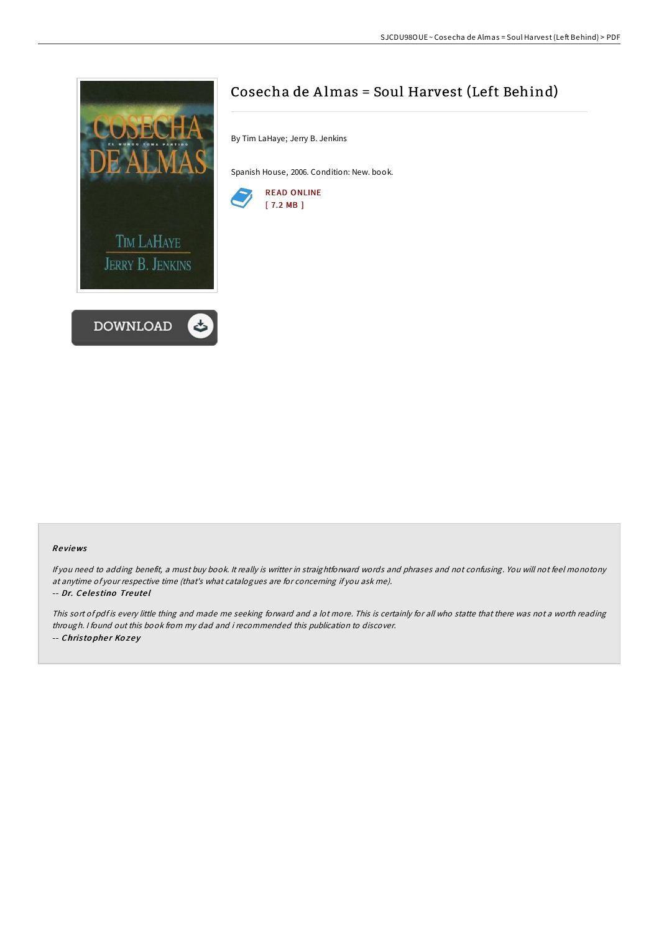

# Cosecha de Almas = Soul Harvest (Left Behind)

By Tim LaHaye; Jerry B. Jenkins

Spanish House, 2006. Condition: New. book.



### Re views

If you need to adding benefit, <sup>a</sup> must buy book. It really is writter in straightforward words and phrases and not confusing. You will not feel monotony at anytime of your respective time (that's what catalogues are for concerning if you ask me). -- Dr. Ce le s tino Treute l

This sort of pdf is every little thing and made me seeking forward and <sup>a</sup> lot more. This is certainly for all who statte that there was not <sup>a</sup> worth reading through. <sup>I</sup> found out this book from my dad and i recommended this publication to discover. -- Christopher Kozey